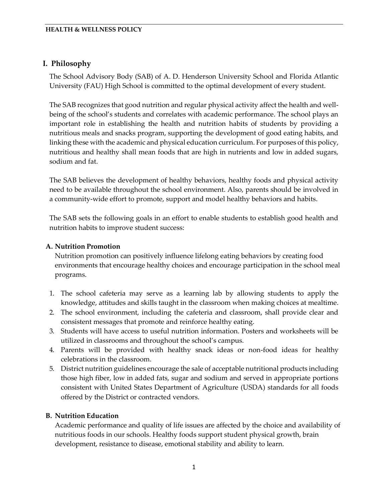### **I. Philosophy**

The School Advisory Body (SAB) of A. D. Henderson University School and Florida Atlantic University (FAU) High School is committed to the optimal development of every student.

The SAB recognizes that good nutrition and regular physical activity affect the health and wellbeing of the school's students and correlates with academic performance. The school plays an important role in establishing the health and nutrition habits of students by providing a nutritious meals and snacks program, supporting the development of good eating habits, and linking these with the academic and physical education curriculum. For purposes of this policy, nutritious and healthy shall mean foods that are high in nutrients and low in added sugars, sodium and fat.

The SAB believes the development of healthy behaviors, healthy foods and physical activity need to be available throughout the school environment. Also, parents should be involved in a community-wide effort to promote, support and model healthy behaviors and habits.

The SAB sets the following goals in an effort to enable students to establish good health and nutrition habits to improve student success:

### **A. Nutrition Promotion**

Nutrition promotion can positively influence lifelong eating behaviors by creating food environments that encourage healthy choices and encourage participation in the school meal programs.

- 1. The school cafeteria may serve as a learning lab by allowing students to apply the knowledge, attitudes and skills taught in the classroom when making choices at mealtime.
- 2. The school environment, including the cafeteria and classroom, shall provide clear and consistent messages that promote and reinforce healthy eating.
- 3. Students will have access to useful nutrition information. Posters and worksheets will be utilized in classrooms and throughout the school's campus.
- 4. Parents will be provided with healthy snack ideas or non-food ideas for healthy celebrations in the classroom.
- 5. District nutrition guidelines encourage the sale of acceptable nutritional products including those high fiber, low in added fats, sugar and sodium and served in appropriate portions consistent with United States Department of Agriculture (USDA) standards for all foods offered by the District or contracted vendors.

### **B. Nutrition Education**

Academic performance and quality of life issues are affected by the choice and availability of nutritious foods in our schools. Healthy foods support student physical growth, brain development, resistance to disease, emotional stability and ability to learn.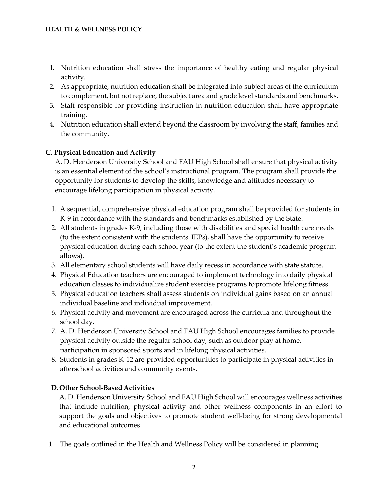- 1. Nutrition education shall stress the importance of healthy eating and regular physical activity.
- 2. As appropriate, nutrition education shall be integrated into subject areas of the curriculum to complement, but not replace, the subject area and grade level standards and benchmarks.
- 3. Staff responsible for providing instruction in nutrition education shall have appropriate training.
- 4. Nutrition education shall extend beyond the classroom by involving the staff, families and the community.

# **C. Physical Education and Activity**

A. D. Henderson University School and FAU High School shall ensure that physical activity is an essential element of the school's instructional program. The program shall provide the opportunity for students to develop the skills, knowledge and attitudes necessary to encourage lifelong participation in physical activity.

- 1. A sequential, comprehensive physical education program shall be provided for students in K-9 in accordance with the standards and benchmarks established by the State.
- 2. All students in grades K-9, including those with disabilities and special health care needs (to the extent consistent with the students' IEPs), shall have the opportunity to receive physical education during each school year (to the extent the student's academic program allows).
- 3. All elementary school students will have daily recess in accordance with state statute.
- 4. Physical Education teachers are encouraged to implement technology into daily physical education classes to individualize student exercise programs topromote lifelong fitness.
- 5. Physical education teachers shall assess students on individual gains based on an annual individual baseline and individual improvement.
- 6. Physical activity and movement are encouraged across the curricula and throughout the school day.
- 7. A. D. Henderson University School and FAU High School encourages families to provide physical activity outside the regular school day, such as outdoor play at home, participation in sponsored sports and in lifelong physical activities.
- 8. Students in grades K-12 are provided opportunities to participate in physical activities in afterschool activities and community events.

# **D.Other School-Based Activities**

A. D. Henderson University School and FAU High School will encourages wellness activities that include nutrition, physical activity and other wellness components in an effort to support the goals and objectives to promote student well-being for strong developmental and educational outcomes.

1. The goals outlined in the Health and Wellness Policy will be considered in planning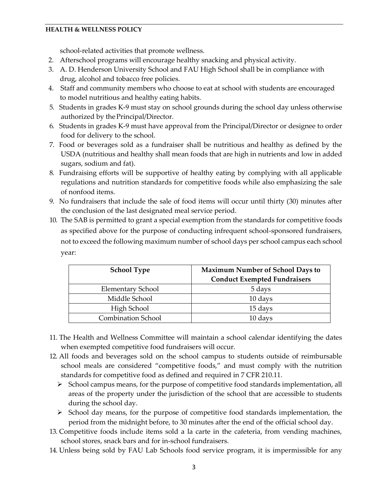school-related activities that promote wellness.

- 2. Afterschool programs will encourage healthy snacking and physical activity.
- 3. A. D. Henderson University School and FAU High School shall be in compliance with drug, alcohol and tobacco free policies.
- 4. Staff and community members who choose to eat at school with students are encouraged to model nutritious and healthy eating habits.
- 5. Students in grades K-9 must stay on school grounds during the school day unless otherwise authorized by thePrincipal/Director.
- 6. Students in grades K-9 must have approval from the Principal/Director or designee to order food for delivery to the school.
- 7. Food or beverages sold as a fundraiser shall be nutritious and healthy as defined by the USDA (nutritious and healthy shall mean foods that are high in nutrients and low in added sugars, sodium and fat).
- 8. Fundraising efforts will be supportive of healthy eating by complying with all applicable regulations and nutrition standards for competitive foods while also emphasizing the sale of nonfood items.
- 9. No fundraisers that include the sale of food items will occur until thirty (30) minutes after the conclusion of the last designated meal service period.
- 10. The SAB is permitted to grant a special exemption from the standards for competitive foods as specified above for the purpose of conducting infrequent school-sponsored fundraisers, not to exceed the following maximum number of school days per school campus each school year:

| <b>School Type</b>        | Maximum Number of School Days to<br><b>Conduct Exempted Fundraisers</b> |  |
|---------------------------|-------------------------------------------------------------------------|--|
| Elementary School         | 5 days                                                                  |  |
| Middle School             | 10 days                                                                 |  |
| High School               | 15 days                                                                 |  |
| <b>Combination School</b> | 10 days                                                                 |  |

- 11. The Health and Wellness Committee will maintain a school calendar identifying the dates when exempted competitive food fundraisers will occur.
- 12. All foods and beverages sold on the school campus to students outside of reimbursable school meals are considered "competitive foods," and must comply with the nutrition standards for competitive food as defined and required in 7 CFR 210.11.
	- $\triangleright$  School campus means, for the purpose of competitive food standards implementation, all areas of the property under the jurisdiction of the school that are accessible to students during the school day.
	- $\triangleright$  School day means, for the purpose of competitive food standards implementation, the period from the midnight before, to 30 minutes after the end of the official school day.
- 13. Competitive foods include items sold a la carte in the cafeteria, from vending machines, school stores, snack bars and for in-school fundraisers.
- 14. Unless being sold by FAU Lab Schools food service program, it is impermissible for any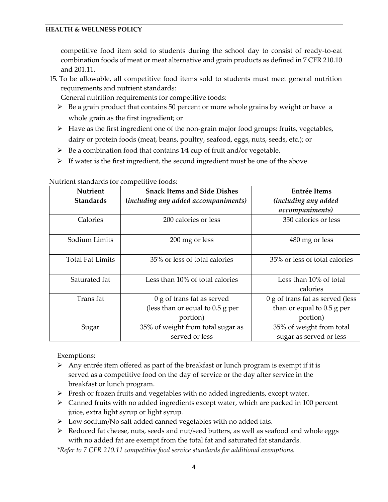competitive food item sold to students during the school day to consist of ready-to-eat combination foods of meat or meat alternative and grain products as defined in 7 CFR 210.10 and 201.11.

15. To be allowable, all competitive food items sold to students must meet general nutrition requirements and nutrient standards:

General nutrition requirements for competitive foods:

- $\triangleright$  Be a grain product that contains 50 percent or more whole grains by weight or have a whole grain as the first ingredient; or
- $\triangleright$  Have as the first ingredient one of the non-grain major food groups: fruits, vegetables, dairy or protein foods (meat, beans, poultry, seafood, eggs, nuts, seeds, etc.); or
- $\triangleright$  Be a combination food that contains 1/4 cup of fruit and/or vegetable.
- $\triangleright$  If water is the first ingredient, the second ingredient must be one of the above.

| <b>Nutrient</b>         | <b>Snack Items and Side Dishes</b>   | Entrée Items                     |  |
|-------------------------|--------------------------------------|----------------------------------|--|
| <b>Standards</b>        | (including any added accompaniments) | <i>(including any added</i>      |  |
|                         |                                      | accompaniments)                  |  |
| Calories                | 200 calories or less                 | 350 calories or less             |  |
| Sodium Limits           | 200 mg or less                       | 480 mg or less                   |  |
| <b>Total Fat Limits</b> | 35% or less of total calories        | 35% or less of total calories    |  |
| Saturated fat           | Less than 10% of total calories      | Less than 10% of total           |  |
|                         |                                      | calories                         |  |
| Trans fat               | 0 g of trans fat as served           | 0 g of trans fat as served (less |  |
|                         | (less than or equal to $0.5$ g per   | than or equal to $0.5$ g per     |  |
|                         | portion)                             | portion)                         |  |
| Sugar                   | 35% of weight from total sugar as    | 35% of weight from total         |  |
|                         | served or less                       | sugar as served or less          |  |

Nutrient standards for competitive foods:

Exemptions:

- $\triangleright$  Any entrée item offered as part of the breakfast or lunch program is exempt if it is served as a competitive food on the day of service or the day after service in the breakfast or lunch program.
- $\triangleright$  Fresh or frozen fruits and vegetables with no added ingredients, except water.
- $\triangleright$  Canned fruits with no added ingredients except water, which are packed in 100 percent juice, extra light syrup or light syrup.
- > Low sodium/No salt added canned vegetables with no added fats.
- $\triangleright$  Reduced fat cheese, nuts, seeds and nut/seed butters, as well as seafood and whole eggs with no added fat are exempt from the total fat and saturated fat standards.

*\*Refer to 7 CFR 210.11 competitive food service standards for additional exemptions.*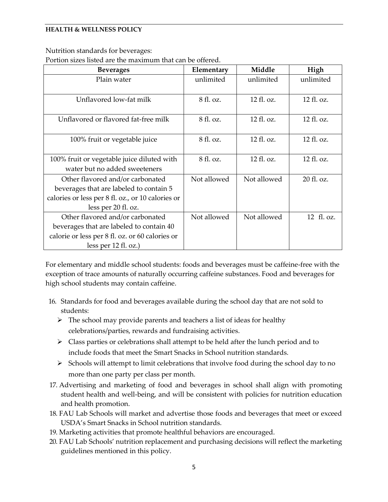Nutrition standards for beverages:

Portion sizes listed are the maximum that can be offered.

| <b>Beverages</b>                                  | Elementary  | Middle      | High       |
|---------------------------------------------------|-------------|-------------|------------|
| Plain water                                       | unlimited   | unlimited   | unlimited  |
|                                                   |             |             |            |
| Unflavored low-fat milk                           | 8 fl. oz.   | 12 fl. oz.  | 12 fl. oz. |
|                                                   |             |             |            |
| Unflavored or flavored fat-free milk              | 8 fl. oz.   | 12 fl. oz.  | 12 fl. oz. |
|                                                   |             |             |            |
| 100% fruit or vegetable juice                     | 8 fl. oz.   | 12 fl. oz.  | 12 fl. oz. |
|                                                   |             |             |            |
| 100% fruit or vegetable juice diluted with        | 8 fl. oz.   | 12 fl. oz.  | 12 fl. oz. |
| water but no added sweeteners                     |             |             |            |
| Other flavored and/or carbonated                  | Not allowed | Not allowed | 20 fl. oz. |
| beverages that are labeled to contain 5           |             |             |            |
| calories or less per 8 fl. oz., or 10 calories or |             |             |            |
| less per 20 fl. oz.                               |             |             |            |
| Other flavored and/or carbonated                  | Not allowed | Not allowed | 12 fl. oz. |
| beverages that are labeled to contain 40          |             |             |            |
| calorie or less per 8 fl. oz. or 60 calories or   |             |             |            |
| less per $12 \text{ fl. oz.}$ )                   |             |             |            |

For elementary and middle school students: foods and beverages must be caffeine-free with the exception of trace amounts of naturally occurring caffeine substances. Food and beverages for high school students may contain caffeine.

- 16. Standards for food and beverages available during the school day that are not sold to students:
	- $\triangleright$  The school may provide parents and teachers a list of ideas for healthy celebrations/parties, rewards and fundraising activities.
	- $\triangleright$  Class parties or celebrations shall attempt to be held after the lunch period and to include foods that meet the Smart Snacks in School nutrition standards.
	- $\triangleright$  Schools will attempt to limit celebrations that involve food during the school day to no more than one party per class per month.
- 17. Advertising and marketing of food and beverages in school shall align with promoting student health and well-being, and will be consistent with policies for nutrition education and health promotion.
- 18. FAU Lab Schools will market and advertise those foods and beverages that meet or exceed USDA's Smart Snacks in School nutrition standards.
- 19. Marketing activities that promote healthful behaviors are encouraged.
- 20. FAU Lab Schools' nutrition replacement and purchasing decisions will reflect the marketing guidelines mentioned in this policy.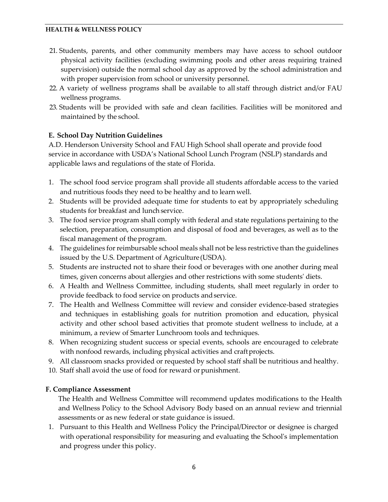- 21. Students, parents, and other community members may have access to school outdoor physical activity facilities (excluding swimming pools and other areas requiring trained supervision) outside the normal school day as approved by the school administration and with proper supervision from school or university personnel.
- 22. A variety of wellness programs shall be available to all staff through district and/or FAU wellness programs.
- 23. Students will be provided with safe and clean facilities. Facilities will be monitored and maintained by the school.

### **E. School Day Nutrition Guidelines**

A.D. Henderson University School and FAU High School shall operate and provide food service in accordance with USDA's National School Lunch Program (NSLP) standards and applicable laws and regulations of the state of Florida.

- 1. The school food service program shall provide all students affordable access to the varied and nutritious foods they need to be healthy and to learn well.
- 2. Students will be provided adequate time for students to eat by appropriately scheduling students for breakfast and lunch service.
- 3. The food service program shall comply with federal and state regulations pertaining to the selection, preparation, consumption and disposal of food and beverages, as well as to the fiscal management of the program.
- 4. The guidelines for reimbursable school meals shall not be less restrictive than the guidelines issued by the U.S. Department of Agriculture(USDA).
- 5. Students are instructed not to share their food or beverages with one another during meal times, given concerns about allergies and other restrictions with some students' diets.
- 6. A Health and Wellness Committee, including students, shall meet regularly in order to provide feedback to food service on products andservice.
- 7. The Health and Wellness Committee will review and consider evidence-based strategies and techniques in establishing goals for nutrition promotion and education, physical activity and other school based activities that promote student wellness to include, at a minimum, a review of Smarter Lunchroom tools and techniques.
- 8. When recognizing student success or special events, schools are encouraged to celebrate with nonfood rewards, including physical activities and craft projects.
- 9. All classroom snacks provided or requested by school staff shall be nutritious and healthy.
- 10. Staff shall avoid the use of food for reward orpunishment.

# **F. Compliance Assessment**

The Health and Wellness Committee will recommend updates modifications to the Health and Wellness Policy to the School Advisory Body based on an annual review and triennial assessments or as new federal or state guidance is issued.

1. Pursuant to this Health and Wellness Policy the Principal/Director or designee is charged with operational responsibility for measuring and evaluating the School's implementation and progress under this policy.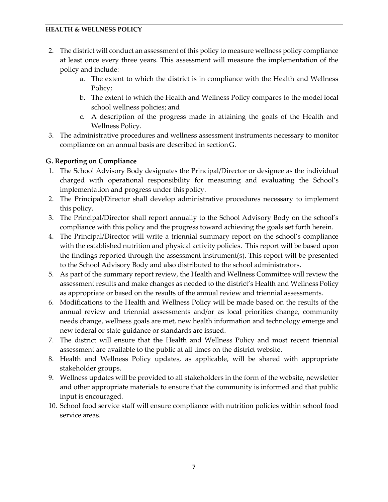- 2. The district will conduct an assessment of this policy to measure wellness policy compliance at least once every three years. This assessment will measure the implementation of the policy and include:
	- a. The extent to which the district is in compliance with the Health and Wellness Policy;
	- b. The extent to which the Health and Wellness Policy compares to the model local school wellness policies; and
	- c. A description of the progress made in attaining the goals of the Health and Wellness Policy.
- 3. The administrative procedures and wellness assessment instruments necessary to monitor compliance on an annual basis are described in sectionG.

# **G. Reporting on Compliance**

- 1. The School Advisory Body designates the Principal/Director or designee as the individual charged with operational responsibility for measuring and evaluating the School's implementation and progress under thispolicy.
- 2. The Principal/Director shall develop administrative procedures necessary to implement this policy.
- 3. The Principal/Director shall report annually to the School Advisory Body on the school's compliance with this policy and the progress toward achieving the goals set forth herein.
- 4. The Principal/Director will write a triennial summary report on the school's compliance with the established nutrition and physical activity policies. This report will be based upon the findings reported through the assessment instrument(s). This report will be presented to the School Advisory Body and also distributed to the school administrators.
- 5. As part of the summary report review, the Health and Wellness Committee will review the assessment results and make changes as needed to the district's Health and Wellness Policy as appropriate or based on the results of the annual review and triennial assessments.
- 6. Modifications to the Health and Wellness Policy will be made based on the results of the annual review and triennial assessments and/or as local priorities change, community needs change, wellness goals are met, new health information and technology emerge and new federal or state guidance or standards are issued.
- 7. The district will ensure that the Health and Wellness Policy and most recent triennial assessment are available to the public at all times on the district website.
- 8. Health and Wellness Policy updates, as applicable, will be shared with appropriate stakeholder groups.
- 9. Wellness updates will be provided to all stakeholders in the form of the website, newsletter and other appropriate materials to ensure that the community is informed and that public input is encouraged.
- 10. School food service staff will ensure compliance with nutrition policies within school food service areas.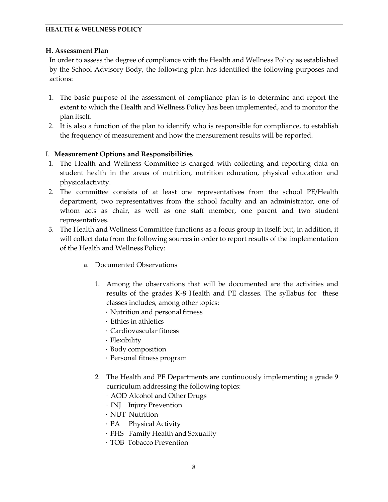### **H. Assessment Plan**

In order to assess the degree of compliance with the Health and Wellness Policy as established by the School Advisory Body, the following plan has identified the following purposes and actions:

- 1. The basic purpose of the assessment of compliance plan is to determine and report the extent to which the Health and Wellness Policy has been implemented, and to monitor the plan itself.
- 2. It is also a function of the plan to identify who is responsible for compliance, to establish the frequency of measurement and how the measurement results will be reported.

### I. **Measurement Options and Responsibilities**

- 1. The Health and Wellness Committee is charged with collecting and reporting data on student health in the areas of nutrition, nutrition education, physical education and physicalactivity.
- 2. The committee consists of at least one representatives from the school PE/Health department, two representatives from the school faculty and an administrator, one of whom acts as chair, as well as one staff member, one parent and two student representatives.
- 3. The Health and Wellness Committee functions as a focus group in itself; but, in addition, it will collect data from the following sources in order to report results of the implementation of the Health and Wellness Policy:
	- a. Documented Observations
		- 1. Among the observations that will be documented are the activities and results of the grades K-8 Health and PE classes. The syllabus for these classes includes, among other topics:
			- · Nutrition and personal fitness
			- · Ethics in athletics
			- · Cardiovascular fitness
			- · Flexibility
			- · Body composition
			- · Personal fitness program
		- 2. The Health and PE Departments are continuously implementing a grade 9 curriculum addressing the following topics:
			- · AOD Alcohol and Other Drugs
			- · INJ Injury Prevention
			- · NUT Nutrition
			- · PA Physical Activity
			- · FHS Family Health and Sexuality
			- · TOB Tobacco Prevention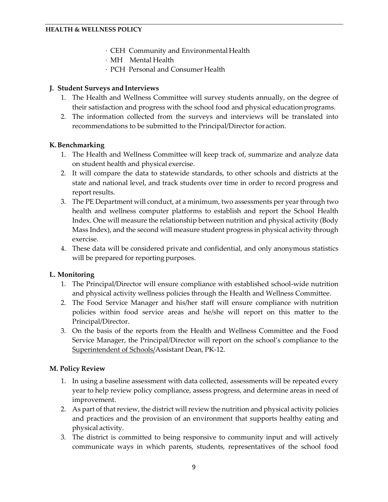- · CEH Community and Environmental Health
- · MH Mental Health
- · PCH Personal and Consumer Health

# **J. Student Surveys and Interviews**

- 1. The Health and Wellness Committee will survey students annually, on the degree of their satisfaction and progress with the school food and physical educationprograms.
- 2. The information collected from the surveys and interviews will be translated into recommendations to be submitted to the Principal/Director for action.

# **K.Benchmarking**

- 1. The Health and Wellness Committee will keep track of, summarize and analyze data on student health and physical exercise.
- 2. It will compare the data to statewide standards, to other schools and districts at the state and national level, and track students over time in order to record progress and report results.
- 3. The PE Department will conduct, at a minimum, two assessments per year through two health and wellness computer platforms to establish and report the School Health Index. One will measure the relationship between nutrition and physical activity (Body Mass Index), and the second will measure student progress in physical activity through exercise.
- 4. These data will be considered private and confidential, and only anonymous statistics will be prepared for reporting purposes.

# **L. Monitoring**

- 1. The Principal/Director will ensure compliance with established school-wide nutrition and physical activity wellness policies through the Health and Wellness Committee.
- 2. The Food Service Manager and his/her staff will ensure compliance with nutrition policies within food service areas and he/she will report on this matter to the Principal/Director.
- 3. On the basis of the reports from the Health and Wellness Committee and the Food Service Manager, the Principal/Director will report on the school's compliance to the Superintendent of Schools/Assistant Dean, PK-12.

# **M. Policy Review**

- 1. In using a baseline assessment with data collected, assessments will be repeated every year to help review policy compliance, assess progress, and determine areas in need of improvement.
- 2. As part of that review, the district will review the nutrition and physical activity policies and practices and the provision of an environment that supports healthy eating and physical activity.
- 3. The district is committed to being responsive to community input and will actively communicate ways in which parents, students, representatives of the school food